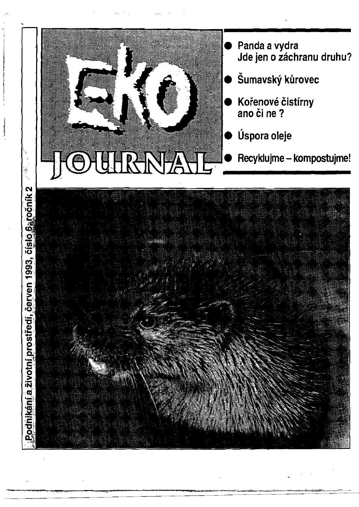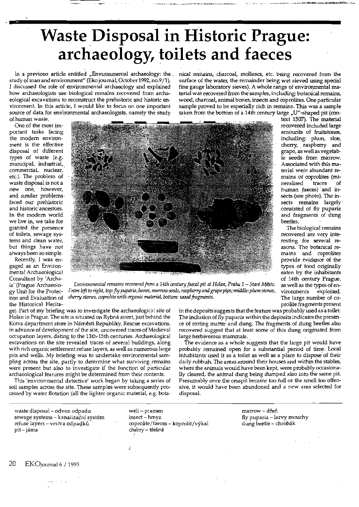## Waste Disposal in Historic Prague: archaeology, toilets and faeces

In a previous article entitled "Environmental archaeology: the, study of man and environment" (Eko journal, October 1992, no.9/1), I discussed the role of environmental archaeology and explained how archaeologists use biological remains recovered from archaeological excavations to reconstruct the prehistoric and historic environment. In this article, 1would like to focus on one important source of data for environmental archaeologists, namely the study of human waste.

nical remains, charcoal, molluscs, etc. being recovered from the surface of the water, the remainder being wet sieved using special fine gauge laboratory sieves). A whole range of environmental material was recovered from the samples, including: botanical remains, wood, charcoal, animal bones, insects and coprolites. One particular sample proved to be especially rich in remains. This was a sample taken from the bottom of a 14th century large  $J''$ -shaped pit (con-

-One of the most important tasks facing the modern environment is the effective disposal of different types of waste (e.g. municipal, industrial,\_ commercial, nuclear, etc.). The problem of waste disposal is not a new one, however, and similar problems. faced our prehistoric and historic ancestors. In the modem world we live in, we take for granted the presence of toilets, sewage systems and clean water, but things have not always been so simple.

Recently, I was engaged as an Environmental Archaeological Consultant by 'Archaia' (prague Archaeology Unit for the Protection and Evaluation of the Historical Herita-



text 1507). The material recovered included large amounts of fruitstones, including: plum, sloe, cherry, . raspberry and grape, as well as vegetable seeds from marrow. Associated with this ma terial were abundant remains of coprolites (mi. neralised traces of human faeces) and insects (see photo). The insects remains largely consisted of fly puparia and fragments of· dung beetles.

The biological remains recovered are very interesting for several reasons. The botanical remains and coprolites provide evidence of the types of food originally eaten by the inhabitants of 14th century Prague, as well as the types of en-: vironments exploited. The large number of coprolite fragments present

*Environmental remains recovered from a 14th century faecal pit at <i>Holan, Praha 1 - Staré Město. From left* to*right,* top:*fly puparia, bones, manuwseeds, raspberry andgrape pips; middle: plumstones,*  cherry stones, coprolite with organic material; bottom: wood fragments.

ge). Part of my briefing was to investigate the archaeological site of Holan in Prague. The site is situated on Rybná street, just behind the Kotva department store in Náměsti Republiky. Rescue excavations, in advance of-development of the site, uncovered traces of Medieval occupation layers, dating to the 13th-15th centuries. Archaeological excavations on the site revealed traces of several buildings, along with rich organic settlement refuse layers, as well as numerous large pits and wells. My briefing was to undertake envirorunental sampling across the site, partly to determine what surviving remains were present but also to investigate if the function of particular archaeological features might be determined from their contents.

This 'environmental detective' work began by taking a series of soil samples across the site. These samples were subsequently processed by water flotation (all the lighter organic material, e.g. botain the deposits suggests that the feature was probably used as a toilet. The inclusion of fly puparia within the deposits indicates the presence of rotting matter and dung. The fragments of dung beetles also recovered suggest that at least some of this dung originated from large herbiverous mammals.

The evidence as a whole suggests that the large pit would have probably remained open for a substantial period of time. Local inhabitants used. it as a toilet as well as a place to dispose of their daily rubbish. The areas around their houses and within the stables, where the animals would have been kept, were probably occasionally cleared, the anlmal dung being dumped also into the same pit. Presumably once the cesspit became too full or the smell too offensive, it would have been abandoned and a new area selected for disposal.

waste disposal – odvoz odpadu well – pramen marrow – marrow – dřeň sewage systems - kanalizační systém insect - hmyz fly puparia - larvy mouchy refuse layers - vrstva odpadků coprolite /faeces - koprolit/výkal dung beetle - chrobák pit – jáma kontrolleit – trešně kontrolleit – cherry – třešně

*j*